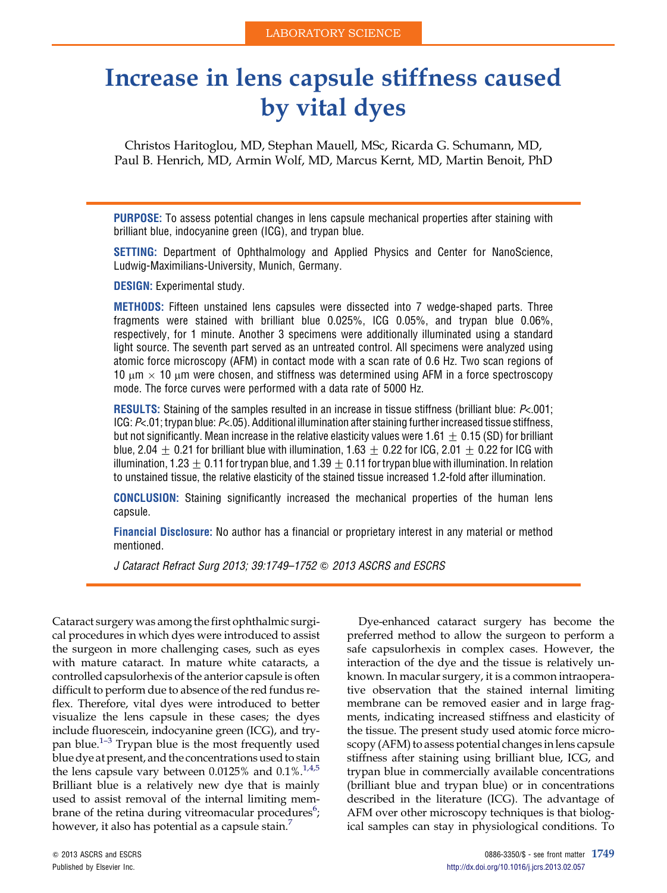# Increase in lens capsule stiffness caused by vital dyes

Christos Haritoglou, MD, Stephan Mauell, MSc, Ricarda G. Schumann, MD, Paul B. Henrich, MD, Armin Wolf, MD, Marcus Kernt, MD, Martin Benoit, PhD

PURPOSE: To assess potential changes in lens capsule mechanical properties after staining with brilliant blue, indocyanine green (ICG), and trypan blue.

SETTING: Department of Ophthalmology and Applied Physics and Center for NanoScience, Ludwig-Maximilians-University, Munich, Germany.

DESIGN: Experimental study.

METHODS: Fifteen unstained lens capsules were dissected into 7 wedge-shaped parts. Three fragments were stained with brilliant blue 0.025%, ICG 0.05%, and trypan blue 0.06%, respectively, for 1 minute. Another 3 specimens were additionally illuminated using a standard light source. The seventh part served as an untreated control. All specimens were analyzed using atomic force microscopy (AFM) in contact mode with a scan rate of 0.6 Hz. Two scan regions of 10  $\mu$ m  $\times$  10  $\mu$ m were chosen, and stiffness was determined using AFM in a force spectroscopy mode. The force curves were performed with a data rate of 5000 Hz.

RESULTS: Staining of the samples resulted in an increase in tissue stiffness (brilliant blue: P<.001; ICG: P<.01; trypan blue: P<.05). Additional illumination after staining further increased tissue stiffness, but not significantly. Mean increase in the relative elasticity values were 1.61  $\pm$  0.15 (SD) for brilliant blue, 2.04  $\pm$  0.21 for brilliant blue with illumination, 1.63  $\pm$  0.22 for ICG, 2.01  $\pm$  0.22 for ICG with illumination, 1.23  $\pm$  0.11 for trypan blue, and 1.39  $\pm$  0.11 for trypan blue with illumination. In relation to unstained tissue, the relative elasticity of the stained tissue increased 1.2-fold after illumination.

CONCLUSION: Staining significantly increased the mechanical properties of the human lens capsule.

Financial Disclosure: No author has a financial or proprietary interest in any material or method mentioned.

J Cataract Refract Surg 2013; 39:1749-1752 @ 2013 ASCRS and ESCRS

Cataract surgery was among the first ophthalmic surgical procedures in which dyes were introduced to assist the surgeon in more challenging cases, such as eyes with mature cataract. In mature white cataracts, a controlled capsulorhexis of the anterior capsule is often difficult to perform due to absence of the red fundus reflex. Therefore, vital dyes were introduced to better visualize the lens capsule in these cases; the dyes include fl[uor](#page-3-0)escein, indocyanine green (ICG), and trypan blue.1–<sup>3</sup> Trypan blue is the most frequently used blue dye at present, and the concentrations used to stain the lens capsule vary between  $0.0125\%$  and  $0.1\%$ .<sup>[1,4,5](#page-3-0)</sup> Brilliant blue is a relatively new dye that is mainly used to assist removal of the internal limiting membrane of the retina during vitreomacular procedures<sup>6</sup>; however, it also has potential as a capsule stain.<sup>[7](#page-3-0)</sup>

preferred method to allow the surgeon to perform a safe capsulorhexis in complex cases. However, the interaction of the dye and the tissue is relatively unknown. In macular surgery, it is a common intraoperative observation that the stained internal limiting membrane can be removed easier and in large fragments, indicating increased stiffness and elasticity of the tissue. The present study used atomic force microscopy (AFM) to assess potential changes in lens capsule stiffness after staining using brilliant blue, ICG, and trypan blue in commercially available concentrations (brilliant blue and trypan blue) or in concentrations described in the literature (ICG). The advantage of AFM over other microscopy techniques is that biological samples can stay in physiological conditions. To

Dye-enhanced cataract surgery has become the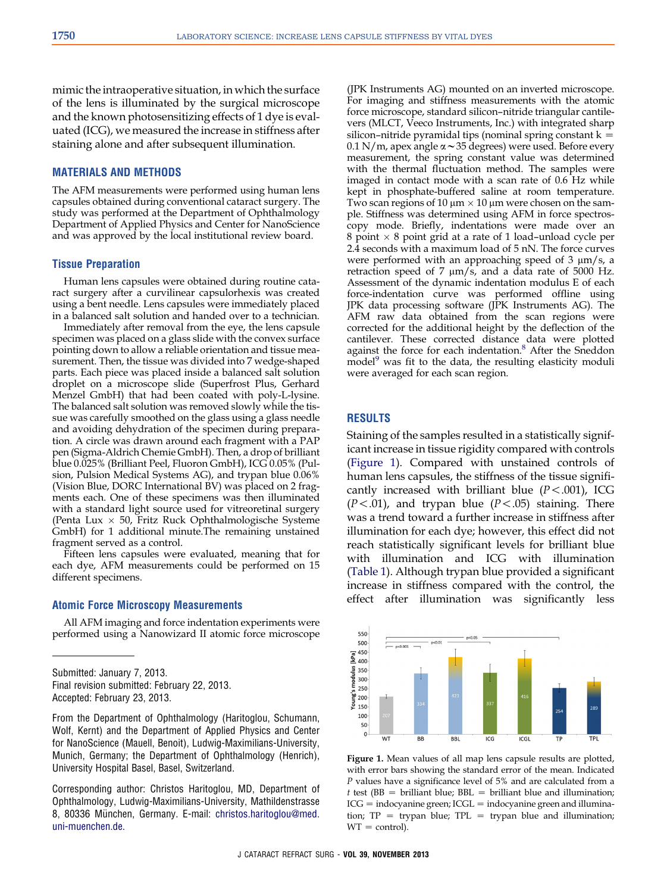mimic the intraoperative situation, in which the surface of the lens is illuminated by the surgical microscope and the known photosensitizing effects of 1 dye is evaluated (ICG), we measured the increase in stiffness after staining alone and after subsequent illumination.

## MATERIALS AND METHODS

The AFM measurements were performed using human lens capsules obtained during conventional cataract surgery. The study was performed at the Department of Ophthalmology Department of Applied Physics and Center for NanoScience and was approved by the local institutional review board.

#### Tissue Preparation

Human lens capsules were obtained during routine cataract surgery after a curvilinear capsulorhexis was created using a bent needle. Lens capsules were immediately placed in a balanced salt solution and handed over to a technician.

Immediately after removal from the eye, the lens capsule specimen was placed on a glass slide with the convex surface pointing down to allow a reliable orientation and tissue measurement. Then, the tissue was divided into 7 wedge-shaped parts. Each piece was placed inside a balanced salt solution droplet on a microscope slide (Superfrost Plus, Gerhard Menzel GmbH) that had been coated with poly-L-lysine. The balanced salt solution was removed slowly while the tissue was carefully smoothed on the glass using a glass needle and avoiding dehydration of the specimen during preparation. A circle was drawn around each fragment with a PAP pen (Sigma-Aldrich Chemie GmbH). Then, a drop of brilliant blue 0.025% (Brilliant Peel, Fluoron GmbH), ICG 0.05% (Pulsion, Pulsion Medical Systems AG), and trypan blue 0.06% (Vision Blue, DORC International BV) was placed on 2 fragments each. One of these specimens was then illuminated with a standard light source used for vitreoretinal surgery (Penta Lux  $\times$  50, Fritz Ruck Ophthalmologische Systeme GmbH) for 1 additional minute.The remaining unstained fragment served as a control.

Fifteen lens capsules were evaluated, meaning that for each dye, AFM measurements could be performed on 15 different specimens.

## Atomic Force Microscopy Measurements

All AFM imaging and force indentation experiments were performed using a Nanowizard II atomic force microscope

From the Department of Ophthalmology (Haritoglou, Schumann, Wolf, Kernt) and the Department of Applied Physics and Center for NanoScience (Mauell, Benoit), Ludwig-Maximilians-University, Munich, Germany; the Department of Ophthalmology (Henrich), University Hospital Basel, Basel, Switzerland.

Corresponding author: Christos Haritoglou, MD, Department of Ophthalmology, Ludwig-Maximilians-University, Mathildenstrasse 8, 80336 München, Germany. E-mail: [christos.haritoglou@med.](mailto:christos.haritoglou@med.uni-muenchen.de) [uni-muenchen.de.](mailto:christos.haritoglou@med.uni-muenchen.de)

(JPK Instruments AG) mounted on an inverted microscope. For imaging and stiffness measurements with the atomic force microscope, standard silicon–nitride triangular cantilevers (MLCT, Veeco Instruments, Inc.) with integrated sharp silicon–nitride pyramidal tips (nominal spring constant  $k =$ 0.1 N/m, apex angle  $\alpha \sim 35$  degrees) were used. Before every measurement, the spring constant value was determined with the thermal fluctuation method. The samples were imaged in contact mode with a scan rate of 0.6 Hz while kept in phosphate-buffered saline at room temperature. Two scan regions of 10  $\mu$ m  $\times$  10  $\mu$ m were chosen on the sample. Stiffness was determined using AFM in force spectroscopy mode. Briefly, indentations were made over an 8 point  $\times$  8 point grid at a rate of 1 load–unload cycle per 2.4 seconds with a maximum load of 5 nN. The force curves were performed with an approaching speed of  $3 \mu m/s$ , a retraction speed of 7  $\mu$ m/s, and a data rate of 5000 Hz. Assessment of the dynamic indentation modulus E of each force-indentation curve was performed offline using JPK data processing software (JPK Instruments AG). The AFM raw data obtained from the scan regions were corrected for the additional height by the deflection of the cantilever. These corrected distance data were plotted<br>against the force for each indentation.<sup>[8](#page-3-0)</sup> After the Sneddon  $model<sup>9</sup>$  $model<sup>9</sup>$  $model<sup>9</sup>$  was fit to the data, the resulting elasticity moduli were averaged for each scan region.

#### RESULTS

Staining of the samples resulted in a statistically significant increase in tissue rigidity compared with controls (Figure 1). Compared with unstained controls of human lens capsules, the stiffness of the tissue significantly increased with brilliant blue  $(P < .001)$ , ICG  $(P<.01)$ , and trypan blue  $(P<.05)$  staining. There was a trend toward a further increase in stiffness after illumination for each dye; however, this effect did not reach statistically significant levels for brilliant blue with illumination and ICG with illumination ([Table 1\)](#page-2-0). Although trypan blue provided a significant increase in stiffness compared with the control, the effect after illumination was significantly less



Figure 1. Mean values of all map lens capsule results are plotted, with error bars showing the standard error of the mean. Indicated P values have a significance level of 5% and are calculated from a  $t$  test (BB = brilliant blue; BBL = brilliant blue and illumination;  $ICG =$  indocyanine green;  $ICGL =$  indocyanine green and illumination;  $TP = trypan blue$ ;  $TPL = trypan blue$  and illumination;  $WT = control$ .

Submitted: January 7, 2013. Final revision submitted: February 22, 2013. Accepted: February 23, 2013.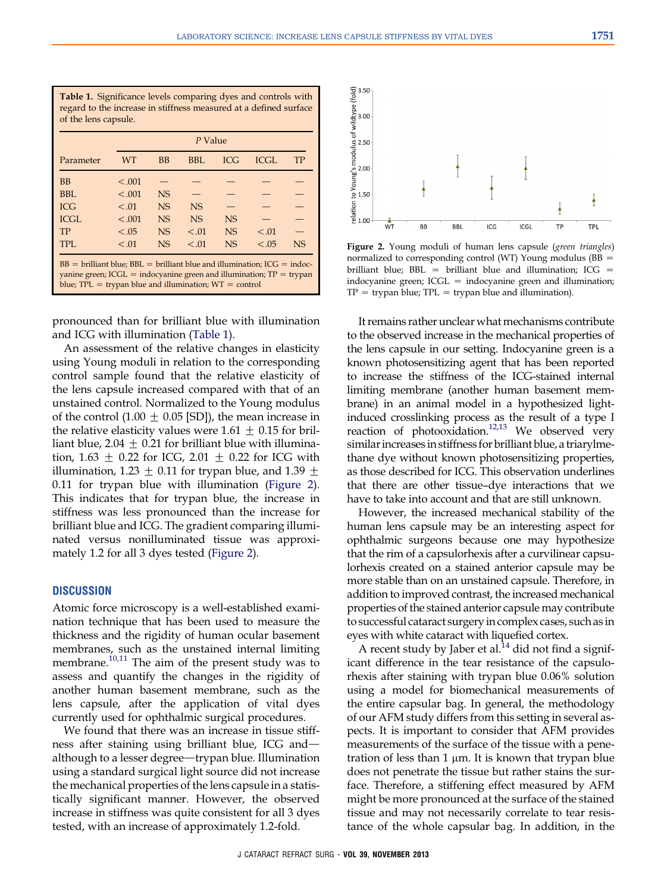<span id="page-2-0"></span>Table 1. Significance levels comparing dyes and controls with regard to the increase in stiffness measured at a defined surface of the lens capsule. Parameter P Value WT BB BBL ICG ICGL TP BB  $\leq .001$  - - - - -BBL  $\leq .001$  NS  $-$ ICG  $\leq .01$  NS NS  $-$ ICGL  $< .001$  NS NS NS  $TP$   $< .05$  NS  $< .01$  NS  $< .01$   $-$ TPL <.01 NS <.01 NS <.05 NS  $BB = \text{brilliant blue}$ ;  $BB = \text{brilliant blue}$  and illumination;  $ICG = \text{indoc-}$ yanine green;  $ICGL =$  indocyanine green and illumination;  $TP =$  trypan blue;  $TPL = trypan$  blue and illumination;  $WT = control$ 

pronounced than for brilliant blue with illumination and ICG with illumination (Table 1).

An assessment of the relative changes in elasticity using Young moduli in relation to the corresponding control sample found that the relative elasticity of the lens capsule increased compared with that of an unstained control. Normalized to the Young modulus of the control (1.00  $\pm$  0.05 [SD]), the mean increase in the relative elasticity values were  $1.61 \pm 0.15$  for brilliant blue, 2.04  $\pm$  0.21 for brilliant blue with illumination, 1.63  $\pm$  0.22 for ICG, 2.01  $\pm$  0.22 for ICG with illumination, 1.23  $\pm$  0.11 for trypan blue, and 1.39  $\pm$ 0.11 for trypan blue with illumination (Figure 2). This indicates that for trypan blue, the increase in stiffness was less pronounced than the increase for brilliant blue and ICG. The gradient comparing illuminated versus nonilluminated tissue was approximately 1.2 for all 3 dyes tested (Figure 2).

## **DISCUSSION**

Atomic force microscopy is a well-established examination technique that has been used to measure the thickness and the rigidity of human ocular basement membranes, such as the unstained internal limiting membrane. $10,11$  The aim of the present study was to assess and quantify the changes in the rigidity of another human basement membrane, such as the lens capsule, after the application of vital dyes currently used for ophthalmic surgical procedures.

We found that there was an increase in tissue stiffness after staining using brilliant blue, ICG andalthough to a lesser degree—trypan blue. Illumination using a standard surgical light source did not increase the mechanical properties of the lens capsule in a statistically significant manner. However, the observed increase in stiffness was quite consistent for all 3 dyes tested, with an increase of approximately 1.2-fold.



Figure 2. Young moduli of human lens capsule (green triangles) normalized to corresponding control (WT) Young modulus ( $BB =$ brilliant blue;  $BBL =$  brilliant blue and illumination; ICG  $=$ indocyanine green;  $ICGL =$  indocyanine green and illumination;  $TP = trypan blue; TPL = trypan blue and illumination).$ 

It remains rather unclear what mechanisms contribute to the observed increase in the mechanical properties of the lens capsule in our setting. Indocyanine green is a known photosensitizing agent that has been reported to increase the stiffness of the ICG-stained internal limiting membrane (another human basement membrane) in an animal model in a hypothesized lightinduced crosslinking process as the result of a type I reaction of photooxidation.<sup>[12,13](#page-3-0)</sup> We observed very similar increases in stiffness for brilliant blue, a triarylmethane dye without known photosensitizing properties, as those described for ICG. This observation underlines that there are other tissue–dye interactions that we have to take into account and that are still unknown.

However, the increased mechanical stability of the human lens capsule may be an interesting aspect for ophthalmic surgeons because one may hypothesize that the rim of a capsulorhexis after a curvilinear capsulorhexis created on a stained anterior capsule may be more stable than on an unstained capsule. Therefore, in addition to improved contrast, the increased mechanical properties of the stained anterior capsule may contribute to successful cataract surgery in complex cases, such as in eyes with white cataract with liquefied cortex.

A recent study by Jaber et al.<sup>[14](#page-3-0)</sup> did not find a significant difference in the tear resistance of the capsulorhexis after staining with trypan blue 0.06% solution using a model for biomechanical measurements of the entire capsular bag. In general, the methodology of our AFM study differs from this setting in several aspects. It is important to consider that AFM provides measurements of the surface of the tissue with a penetration of less than 1  $\mu$ m. It is known that trypan blue does not penetrate the tissue but rather stains the surface. Therefore, a stiffening effect measured by AFM might be more pronounced at the surface of the stained tissue and may not necessarily correlate to tear resistance of the whole capsular bag. In addition, in the